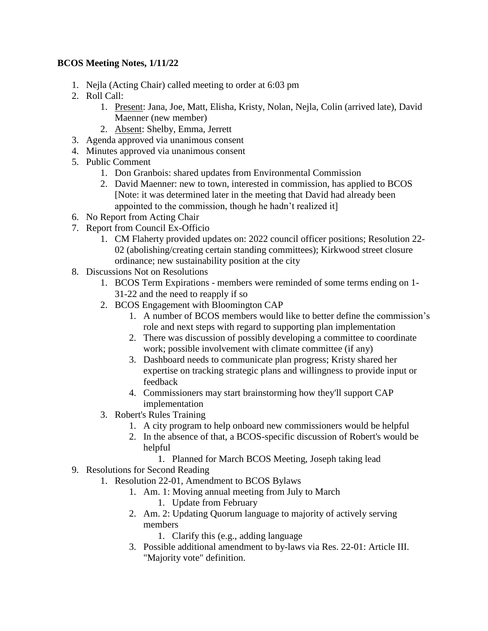## **BCOS Meeting Notes, 1/11/22**

- 1. Nejla (Acting Chair) called meeting to order at 6:03 pm
- 2. Roll Call:
	- 1. Present: Jana, Joe, Matt, Elisha, Kristy, Nolan, Nejla, Colin (arrived late), David Maenner (new member)
	- 2. Absent: Shelby, Emma, Jerrett
- 3. Agenda approved via unanimous consent
- 4. Minutes approved via unanimous consent
- 5. Public Comment
	- 1. Don Granbois: shared updates from Environmental Commission
	- 2. David Maenner: new to town, interested in commission, has applied to BCOS [Note: it was determined later in the meeting that David had already been appointed to the commission, though he hadn't realized it]
- 6. No Report from Acting Chair
- 7. Report from Council Ex-Officio
	- 1. CM Flaherty provided updates on: 2022 council officer positions; Resolution 22- 02 (abolishing/creating certain standing committees); Kirkwood street closure ordinance; new sustainability position at the city
- 8. Discussions Not on Resolutions
	- 1. BCOS Term Expirations members were reminded of some terms ending on 1- 31-22 and the need to reapply if so
	- 2. BCOS Engagement with Bloomington CAP
		- 1. A number of BCOS members would like to better define the commission's role and next steps with regard to supporting plan implementation
		- 2. There was discussion of possibly developing a committee to coordinate work; possible involvement with climate committee (if any)
		- 3. Dashboard needs to communicate plan progress; Kristy shared her expertise on tracking strategic plans and willingness to provide input or feedback
		- 4. Commissioners may start brainstorming how they'll support CAP implementation
	- 3. Robert's Rules Training
		- 1. A city program to help onboard new commissioners would be helpful
		- 2. In the absence of that, a BCOS-specific discussion of Robert's would be helpful
			- 1. Planned for March BCOS Meeting, Joseph taking lead
- 9. Resolutions for Second Reading
	- 1. Resolution 22-01, Amendment to BCOS Bylaws
		- 1. Am. 1: Moving annual meeting from July to March
			- 1. Update from February
		- 2. Am. 2: Updating Quorum language to majority of actively serving members
			- 1. Clarify this (e.g., adding language
		- 3. Possible additional amendment to by-laws via Res. 22-01: Article III. "Majority vote" definition.